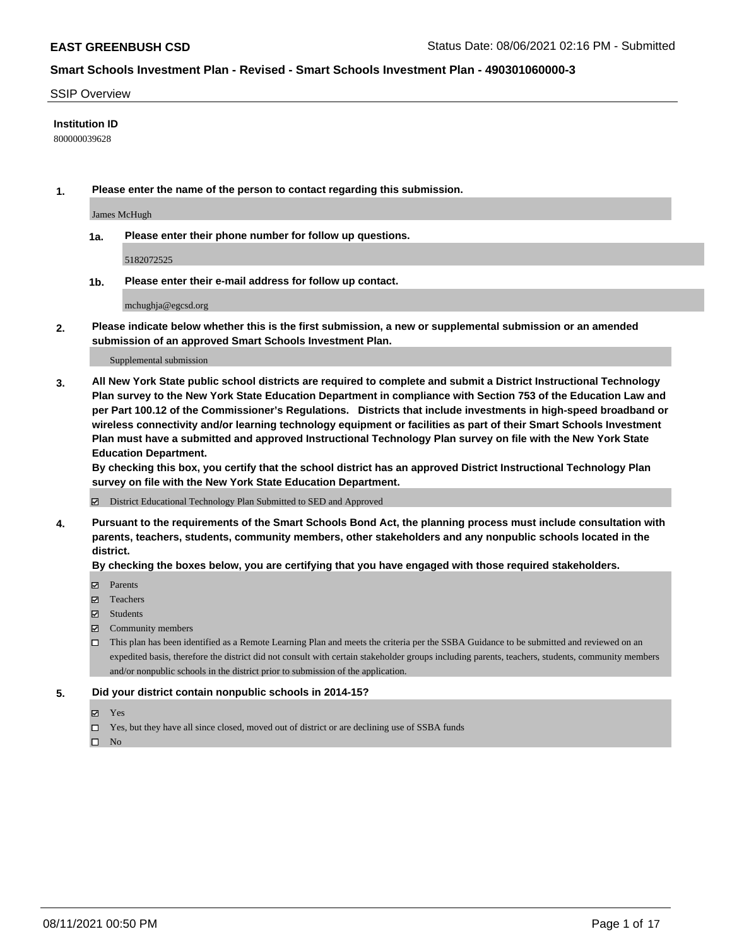#### SSIP Overview

#### **Institution ID**

800000039628

**1. Please enter the name of the person to contact regarding this submission.**

James McHugh

**1a. Please enter their phone number for follow up questions.**

5182072525

**1b. Please enter their e-mail address for follow up contact.**

mchughja@egcsd.org

**2. Please indicate below whether this is the first submission, a new or supplemental submission or an amended submission of an approved Smart Schools Investment Plan.**

#### Supplemental submission

**3. All New York State public school districts are required to complete and submit a District Instructional Technology Plan survey to the New York State Education Department in compliance with Section 753 of the Education Law and per Part 100.12 of the Commissioner's Regulations. Districts that include investments in high-speed broadband or wireless connectivity and/or learning technology equipment or facilities as part of their Smart Schools Investment Plan must have a submitted and approved Instructional Technology Plan survey on file with the New York State Education Department.** 

**By checking this box, you certify that the school district has an approved District Instructional Technology Plan survey on file with the New York State Education Department.**

District Educational Technology Plan Submitted to SED and Approved

**4. Pursuant to the requirements of the Smart Schools Bond Act, the planning process must include consultation with parents, teachers, students, community members, other stakeholders and any nonpublic schools located in the district.** 

#### **By checking the boxes below, you are certifying that you have engaged with those required stakeholders.**

- **Parents**
- Teachers
- Students
- $\boxtimes$  Community members
- This plan has been identified as a Remote Learning Plan and meets the criteria per the SSBA Guidance to be submitted and reviewed on an expedited basis, therefore the district did not consult with certain stakeholder groups including parents, teachers, students, community members and/or nonpublic schools in the district prior to submission of the application.
- **5. Did your district contain nonpublic schools in 2014-15?**
	- Yes
	- □ Yes, but they have all since closed, moved out of district or are declining use of SSBA funds

 $\hfill \square$  No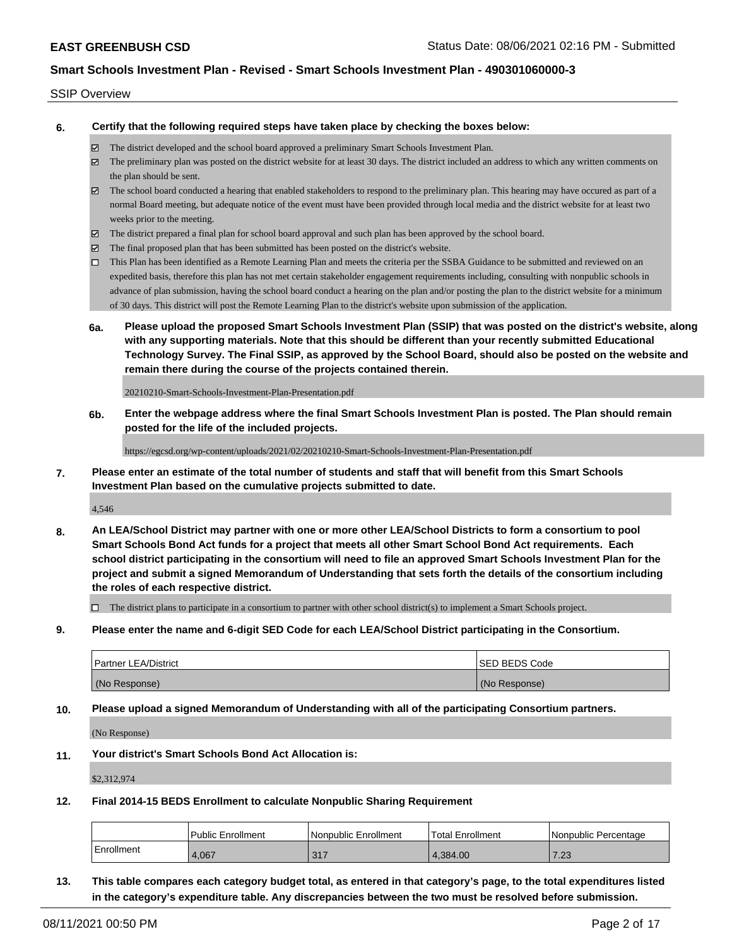#### SSIP Overview

**6. Certify that the following required steps have taken place by checking the boxes below:**

- The district developed and the school board approved a preliminary Smart Schools Investment Plan.
- The preliminary plan was posted on the district website for at least 30 days. The district included an address to which any written comments on the plan should be sent.
- The school board conducted a hearing that enabled stakeholders to respond to the preliminary plan. This hearing may have occured as part of a normal Board meeting, but adequate notice of the event must have been provided through local media and the district website for at least two weeks prior to the meeting.
- The district prepared a final plan for school board approval and such plan has been approved by the school board.
- $\boxtimes$  The final proposed plan that has been submitted has been posted on the district's website.
- This Plan has been identified as a Remote Learning Plan and meets the criteria per the SSBA Guidance to be submitted and reviewed on an expedited basis, therefore this plan has not met certain stakeholder engagement requirements including, consulting with nonpublic schools in advance of plan submission, having the school board conduct a hearing on the plan and/or posting the plan to the district website for a minimum of 30 days. This district will post the Remote Learning Plan to the district's website upon submission of the application.
- **6a. Please upload the proposed Smart Schools Investment Plan (SSIP) that was posted on the district's website, along with any supporting materials. Note that this should be different than your recently submitted Educational Technology Survey. The Final SSIP, as approved by the School Board, should also be posted on the website and remain there during the course of the projects contained therein.**

20210210-Smart-Schools-Investment-Plan-Presentation.pdf

**6b. Enter the webpage address where the final Smart Schools Investment Plan is posted. The Plan should remain posted for the life of the included projects.**

https://egcsd.org/wp-content/uploads/2021/02/20210210-Smart-Schools-Investment-Plan-Presentation.pdf

**7. Please enter an estimate of the total number of students and staff that will benefit from this Smart Schools Investment Plan based on the cumulative projects submitted to date.**

4,546

**8. An LEA/School District may partner with one or more other LEA/School Districts to form a consortium to pool Smart Schools Bond Act funds for a project that meets all other Smart School Bond Act requirements. Each school district participating in the consortium will need to file an approved Smart Schools Investment Plan for the project and submit a signed Memorandum of Understanding that sets forth the details of the consortium including the roles of each respective district.**

 $\Box$  The district plans to participate in a consortium to partner with other school district(s) to implement a Smart Schools project.

**9. Please enter the name and 6-digit SED Code for each LEA/School District participating in the Consortium.**

| <b>Partner LEA/District</b> | <b>ISED BEDS Code</b> |
|-----------------------------|-----------------------|
| (No Response)               | (No Response)         |

**10. Please upload a signed Memorandum of Understanding with all of the participating Consortium partners.**

(No Response)

**11. Your district's Smart Schools Bond Act Allocation is:**

\$2,312,974

**12. Final 2014-15 BEDS Enrollment to calculate Nonpublic Sharing Requirement**

|              | Public Enrollment | Nonpublic Enrollment | <b>Total Enrollment</b> | l Nonpublic Percentage |
|--------------|-------------------|----------------------|-------------------------|------------------------|
| l Enrollment | 4.067             | 317                  | 4.384.00                | 7.23                   |

**13. This table compares each category budget total, as entered in that category's page, to the total expenditures listed in the category's expenditure table. Any discrepancies between the two must be resolved before submission.**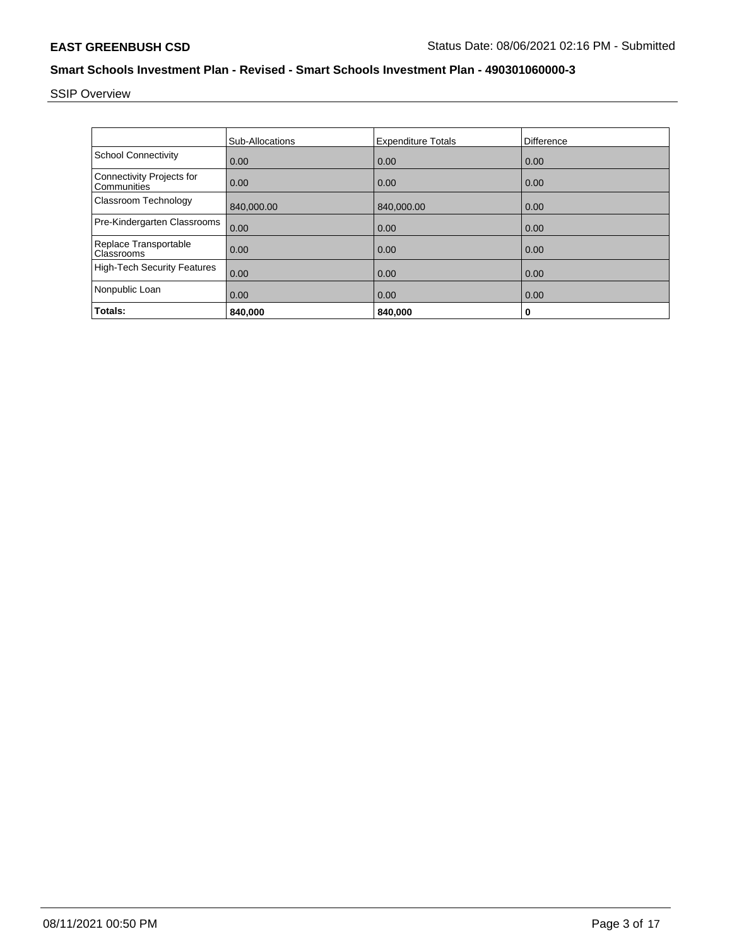SSIP Overview

|                                                 | Sub-Allocations | <b>Expenditure Totals</b> | <b>Difference</b> |
|-------------------------------------------------|-----------------|---------------------------|-------------------|
| <b>School Connectivity</b>                      | 0.00            | 0.00                      | 0.00              |
| <b>Connectivity Projects for</b><br>Communities | 0.00            | 0.00                      | 0.00              |
| Classroom Technology                            | 840.000.00      | 840,000.00                | 0.00              |
| Pre-Kindergarten Classrooms                     | 0.00            | 0.00                      | 0.00              |
| Replace Transportable<br>Classrooms             | 0.00            | 0.00                      | 0.00              |
| <b>High-Tech Security Features</b>              | 0.00            | 0.00                      | 0.00              |
| Nonpublic Loan                                  | 0.00            | 0.00                      | 0.00              |
| Totals:                                         | 840.000         | 840.000                   | 0                 |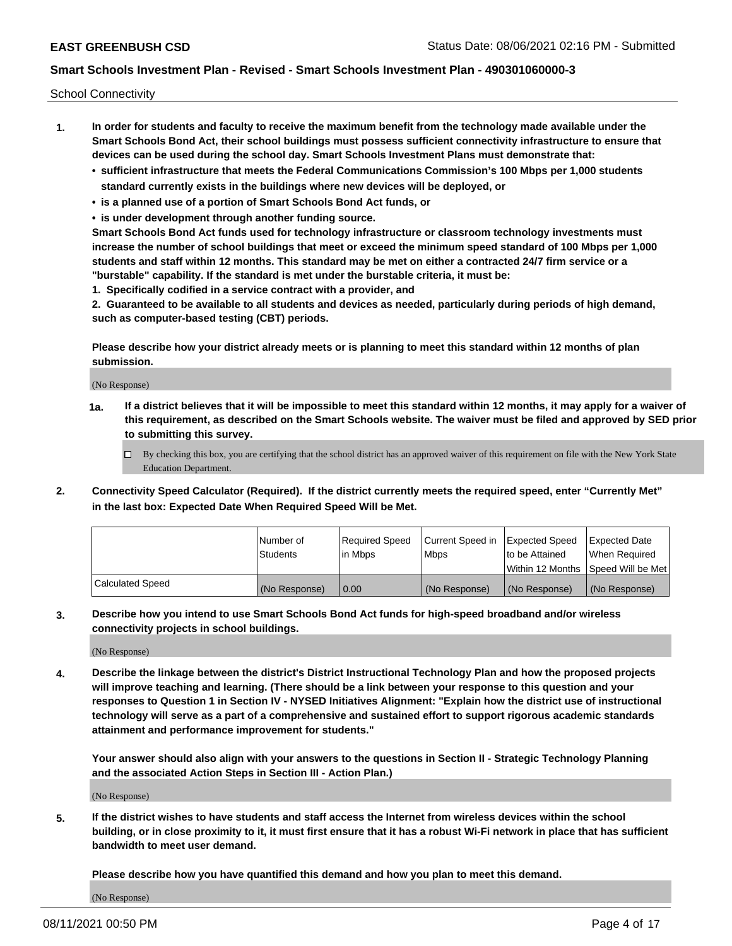School Connectivity

- **1. In order for students and faculty to receive the maximum benefit from the technology made available under the Smart Schools Bond Act, their school buildings must possess sufficient connectivity infrastructure to ensure that devices can be used during the school day. Smart Schools Investment Plans must demonstrate that:**
	- **• sufficient infrastructure that meets the Federal Communications Commission's 100 Mbps per 1,000 students standard currently exists in the buildings where new devices will be deployed, or**
	- **• is a planned use of a portion of Smart Schools Bond Act funds, or**
	- **• is under development through another funding source.**

**Smart Schools Bond Act funds used for technology infrastructure or classroom technology investments must increase the number of school buildings that meet or exceed the minimum speed standard of 100 Mbps per 1,000 students and staff within 12 months. This standard may be met on either a contracted 24/7 firm service or a "burstable" capability. If the standard is met under the burstable criteria, it must be:**

**1. Specifically codified in a service contract with a provider, and**

**2. Guaranteed to be available to all students and devices as needed, particularly during periods of high demand, such as computer-based testing (CBT) periods.**

**Please describe how your district already meets or is planning to meet this standard within 12 months of plan submission.**

(No Response)

**1a. If a district believes that it will be impossible to meet this standard within 12 months, it may apply for a waiver of this requirement, as described on the Smart Schools website. The waiver must be filed and approved by SED prior to submitting this survey.**

 $\Box$  By checking this box, you are certifying that the school district has an approved waiver of this requirement on file with the New York State Education Department.

**2. Connectivity Speed Calculator (Required). If the district currently meets the required speed, enter "Currently Met" in the last box: Expected Date When Required Speed Will be Met.**

|                  | l Number of     | Required Speed | Current Speed in | Expected Speed | Expected Date                        |
|------------------|-----------------|----------------|------------------|----------------|--------------------------------------|
|                  | <b>Students</b> | In Mbps        | <b>Mbps</b>      | to be Attained | When Required                        |
|                  |                 |                |                  |                | Within 12 Months 1Speed Will be Met1 |
| Calculated Speed | (No Response)   | 0.00           | (No Response)    | (No Response)  | l (No Response)                      |

**3. Describe how you intend to use Smart Schools Bond Act funds for high-speed broadband and/or wireless connectivity projects in school buildings.**

(No Response)

**4. Describe the linkage between the district's District Instructional Technology Plan and how the proposed projects will improve teaching and learning. (There should be a link between your response to this question and your responses to Question 1 in Section IV - NYSED Initiatives Alignment: "Explain how the district use of instructional technology will serve as a part of a comprehensive and sustained effort to support rigorous academic standards attainment and performance improvement for students."** 

**Your answer should also align with your answers to the questions in Section II - Strategic Technology Planning and the associated Action Steps in Section III - Action Plan.)**

(No Response)

**5. If the district wishes to have students and staff access the Internet from wireless devices within the school building, or in close proximity to it, it must first ensure that it has a robust Wi-Fi network in place that has sufficient bandwidth to meet user demand.**

**Please describe how you have quantified this demand and how you plan to meet this demand.**

(No Response)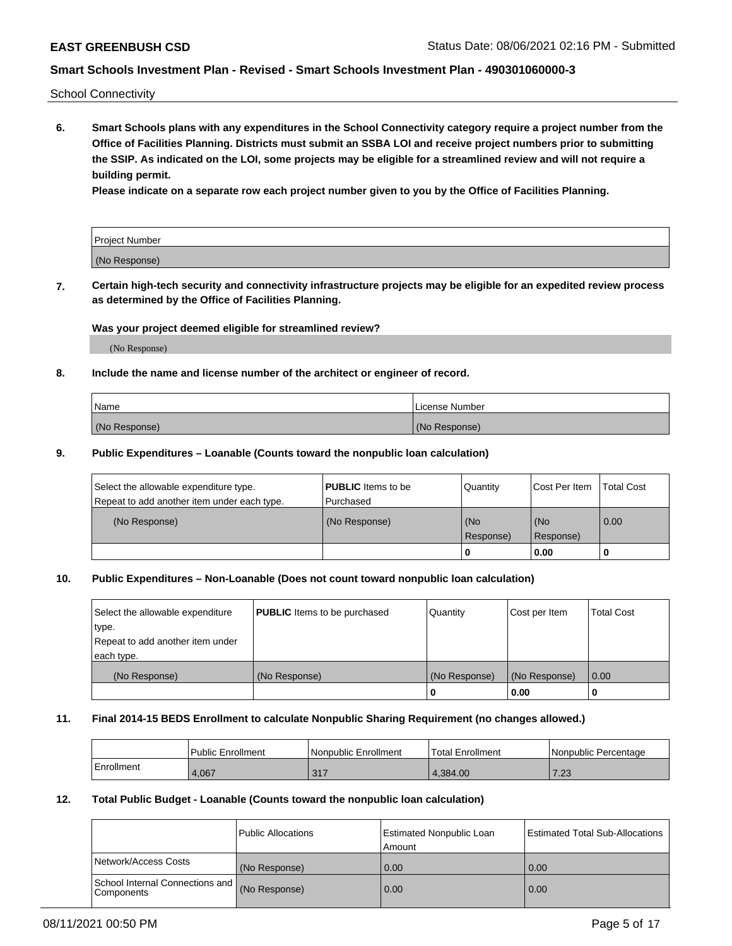School Connectivity

**6. Smart Schools plans with any expenditures in the School Connectivity category require a project number from the Office of Facilities Planning. Districts must submit an SSBA LOI and receive project numbers prior to submitting the SSIP. As indicated on the LOI, some projects may be eligible for a streamlined review and will not require a building permit.**

**Please indicate on a separate row each project number given to you by the Office of Facilities Planning.**

| Project Number |  |
|----------------|--|
| (No Response)  |  |

**7. Certain high-tech security and connectivity infrastructure projects may be eligible for an expedited review process as determined by the Office of Facilities Planning.**

#### **Was your project deemed eligible for streamlined review?**

(No Response)

## **8. Include the name and license number of the architect or engineer of record.**

| Name          | License Number |
|---------------|----------------|
| (No Response) | (No Response)  |

#### **9. Public Expenditures – Loanable (Counts toward the nonpublic loan calculation)**

| Select the allowable expenditure type.<br>Repeat to add another item under each type. | <b>PUBLIC</b> Items to be<br>l Purchased | Quantity           | Cost Per Item    | <b>Total Cost</b> |
|---------------------------------------------------------------------------------------|------------------------------------------|--------------------|------------------|-------------------|
| (No Response)                                                                         | (No Response)                            | l (No<br>Response) | (No<br>Response) | $\overline{0.00}$ |
|                                                                                       |                                          | O                  | 0.00             |                   |

## **10. Public Expenditures – Non-Loanable (Does not count toward nonpublic loan calculation)**

| Select the allowable expenditure<br>type.<br>Repeat to add another item under<br>each type. | <b>PUBLIC</b> Items to be purchased | Quantity      | Cost per Item | <b>Total Cost</b> |
|---------------------------------------------------------------------------------------------|-------------------------------------|---------------|---------------|-------------------|
| (No Response)                                                                               | (No Response)                       | (No Response) | (No Response) | 0.00              |
|                                                                                             |                                     |               | 0.00          |                   |

#### **11. Final 2014-15 BEDS Enrollment to calculate Nonpublic Sharing Requirement (no changes allowed.)**

|            | Public Enrollment | l Nonpublic Enrollment | <b>Total Enrollment</b> | Nonpublic Percentage |
|------------|-------------------|------------------------|-------------------------|----------------------|
| Enrollment | 4.067             | 217<br><u>JII</u>      | .384.00                 | 2 ממ<br>د ے.         |

#### **12. Total Public Budget - Loanable (Counts toward the nonpublic loan calculation)**

|                                                      | Public Allocations | <b>Estimated Nonpublic Loan</b><br>Amount | Estimated Total Sub-Allocations |
|------------------------------------------------------|--------------------|-------------------------------------------|---------------------------------|
| Network/Access Costs                                 | (No Response)      | 0.00                                      | 0.00                            |
| School Internal Connections and<br><b>Components</b> | (No Response)      | 0.00                                      | 0.00                            |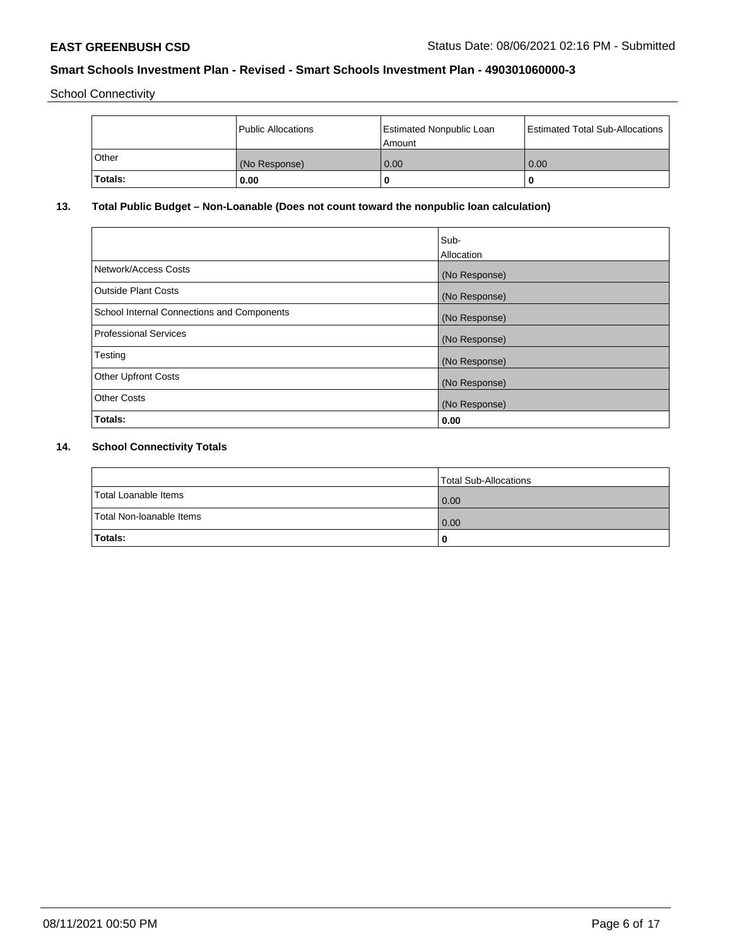School Connectivity

|         | <b>Public Allocations</b> | <b>Estimated Nonpublic Loan</b><br>Amount | <b>Estimated Total Sub-Allocations</b> |
|---------|---------------------------|-------------------------------------------|----------------------------------------|
| Other   | (No Response)             | 0.00                                      | 0.00                                   |
| Totals: | 0.00                      |                                           | O                                      |

## **13. Total Public Budget – Non-Loanable (Does not count toward the nonpublic loan calculation)**

|                                                   | Sub-<br>Allocation |
|---------------------------------------------------|--------------------|
| Network/Access Costs                              | (No Response)      |
| <b>Outside Plant Costs</b>                        | (No Response)      |
| <b>School Internal Connections and Components</b> | (No Response)      |
| Professional Services                             | (No Response)      |
| Testing                                           | (No Response)      |
| <b>Other Upfront Costs</b>                        | (No Response)      |
| <b>Other Costs</b>                                | (No Response)      |
| <b>Totals:</b>                                    | 0.00               |

# **14. School Connectivity Totals**

|                          | Total Sub-Allocations |
|--------------------------|-----------------------|
| Total Loanable Items     | $\overline{0.00}$     |
| Total Non-Ioanable Items | $\overline{0.00}$     |
| Totals:                  |                       |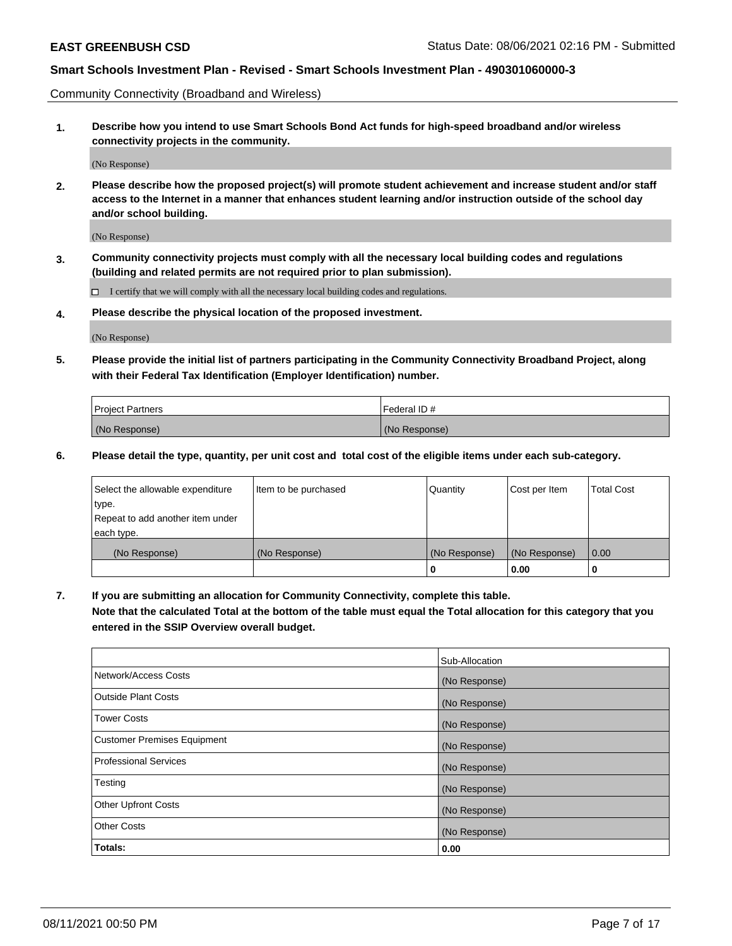Community Connectivity (Broadband and Wireless)

**1. Describe how you intend to use Smart Schools Bond Act funds for high-speed broadband and/or wireless connectivity projects in the community.**

(No Response)

**2. Please describe how the proposed project(s) will promote student achievement and increase student and/or staff access to the Internet in a manner that enhances student learning and/or instruction outside of the school day and/or school building.**

(No Response)

**3. Community connectivity projects must comply with all the necessary local building codes and regulations (building and related permits are not required prior to plan submission).**

 $\Box$  I certify that we will comply with all the necessary local building codes and regulations.

**4. Please describe the physical location of the proposed investment.**

(No Response)

**5. Please provide the initial list of partners participating in the Community Connectivity Broadband Project, along with their Federal Tax Identification (Employer Identification) number.**

| <b>Project Partners</b> | l Federal ID # |
|-------------------------|----------------|
| (No Response)           | (No Response)  |

**6. Please detail the type, quantity, per unit cost and total cost of the eligible items under each sub-category.**

| Select the allowable expenditure | Item to be purchased | Quantity      | Cost per Item | <b>Total Cost</b> |
|----------------------------------|----------------------|---------------|---------------|-------------------|
| type.                            |                      |               |               |                   |
| Repeat to add another item under |                      |               |               |                   |
| each type.                       |                      |               |               |                   |
| (No Response)                    | (No Response)        | (No Response) | (No Response) | 0.00              |
|                                  |                      | o             | 0.00          |                   |

**7. If you are submitting an allocation for Community Connectivity, complete this table.**

**Note that the calculated Total at the bottom of the table must equal the Total allocation for this category that you entered in the SSIP Overview overall budget.**

|                                    | Sub-Allocation |
|------------------------------------|----------------|
| Network/Access Costs               | (No Response)  |
| Outside Plant Costs                | (No Response)  |
| <b>Tower Costs</b>                 | (No Response)  |
| <b>Customer Premises Equipment</b> | (No Response)  |
| <b>Professional Services</b>       | (No Response)  |
| Testing                            | (No Response)  |
| <b>Other Upfront Costs</b>         | (No Response)  |
| <b>Other Costs</b>                 | (No Response)  |
| Totals:                            | 0.00           |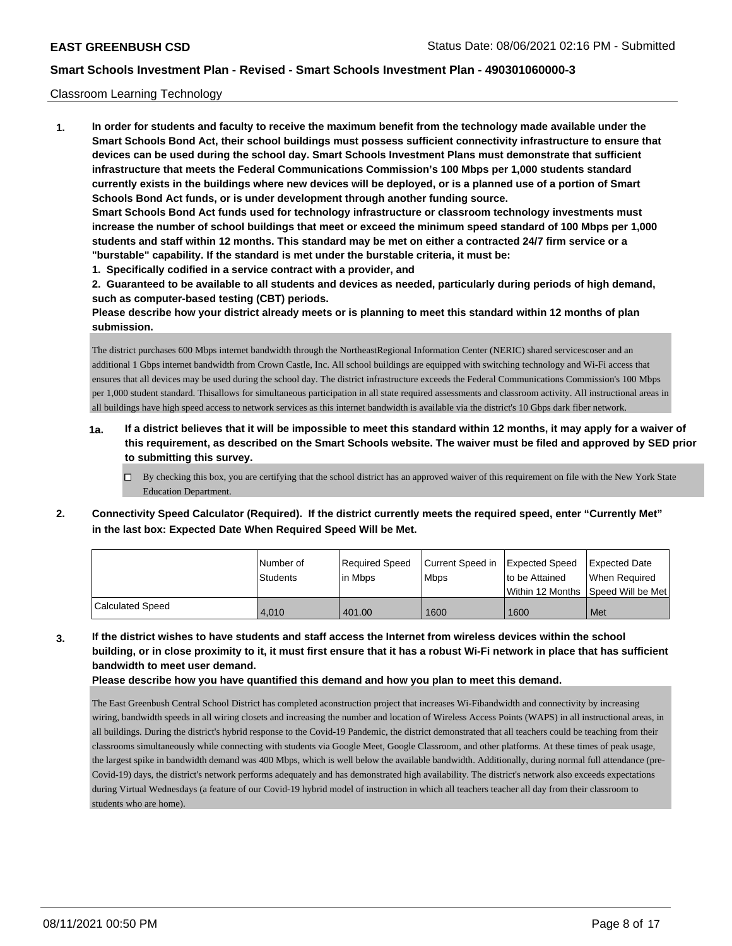#### Classroom Learning Technology

**1. In order for students and faculty to receive the maximum benefit from the technology made available under the Smart Schools Bond Act, their school buildings must possess sufficient connectivity infrastructure to ensure that devices can be used during the school day. Smart Schools Investment Plans must demonstrate that sufficient infrastructure that meets the Federal Communications Commission's 100 Mbps per 1,000 students standard currently exists in the buildings where new devices will be deployed, or is a planned use of a portion of Smart Schools Bond Act funds, or is under development through another funding source. Smart Schools Bond Act funds used for technology infrastructure or classroom technology investments must increase the number of school buildings that meet or exceed the minimum speed standard of 100 Mbps per 1,000 students and staff within 12 months. This standard may be met on either a contracted 24/7 firm service or a "burstable" capability. If the standard is met under the burstable criteria, it must be:**

**1. Specifically codified in a service contract with a provider, and**

**2. Guaranteed to be available to all students and devices as needed, particularly during periods of high demand, such as computer-based testing (CBT) periods.**

**Please describe how your district already meets or is planning to meet this standard within 12 months of plan submission.**

The district purchases 600 Mbps internet bandwidth through the NortheastRegional Information Center (NERIC) shared servicescoser and an additional 1 Gbps internet bandwidth from Crown Castle, Inc. All school buildings are equipped with switching technology and Wi-Fi access that ensures that all devices may be used during the school day. The district infrastructure exceeds the Federal Communications Commission's 100 Mbps per 1,000 student standard. Thisallows for simultaneous participation in all state required assessments and classroom activity. All instructional areas in all buildings have high speed access to network services as this internet bandwidth is available via the district's 10 Gbps dark fiber network.

- **1a. If a district believes that it will be impossible to meet this standard within 12 months, it may apply for a waiver of this requirement, as described on the Smart Schools website. The waiver must be filed and approved by SED prior to submitting this survey.**
	- By checking this box, you are certifying that the school district has an approved waiver of this requirement on file with the New York State Education Department.
- **2. Connectivity Speed Calculator (Required). If the district currently meets the required speed, enter "Currently Met" in the last box: Expected Date When Required Speed Will be Met.**

|                  | l Number of<br>Students | Required Speed<br>l in Mbps | Current Speed in Expected Speed<br><b>Mbps</b> | to be Attained | <b>Expected Date</b><br>When Required<br>Within 12 Months Speed Will be Met |
|------------------|-------------------------|-----------------------------|------------------------------------------------|----------------|-----------------------------------------------------------------------------|
| Calculated Speed | 4.010                   | 401.00                      | 1600                                           | 1600           | Met                                                                         |

**3. If the district wishes to have students and staff access the Internet from wireless devices within the school building, or in close proximity to it, it must first ensure that it has a robust Wi-Fi network in place that has sufficient bandwidth to meet user demand.**

**Please describe how you have quantified this demand and how you plan to meet this demand.**

The East Greenbush Central School District has completed aconstruction project that increases Wi-Fibandwidth and connectivity by increasing wiring, bandwidth speeds in all wiring closets and increasing the number and location of Wireless Access Points (WAPS) in all instructional areas, in all buildings. During the district's hybrid response to the Covid-19 Pandemic, the district demonstrated that all teachers could be teaching from their classrooms simultaneously while connecting with students via Google Meet, Google Classroom, and other platforms. At these times of peak usage, the largest spike in bandwidth demand was 400 Mbps, which is well below the available bandwidth. Additionally, during normal full attendance (pre-Covid-19) days, the district's network performs adequately and has demonstrated high availability. The district's network also exceeds expectations during Virtual Wednesdays (a feature of our Covid-19 hybrid model of instruction in which all teachers teacher all day from their classroom to students who are home).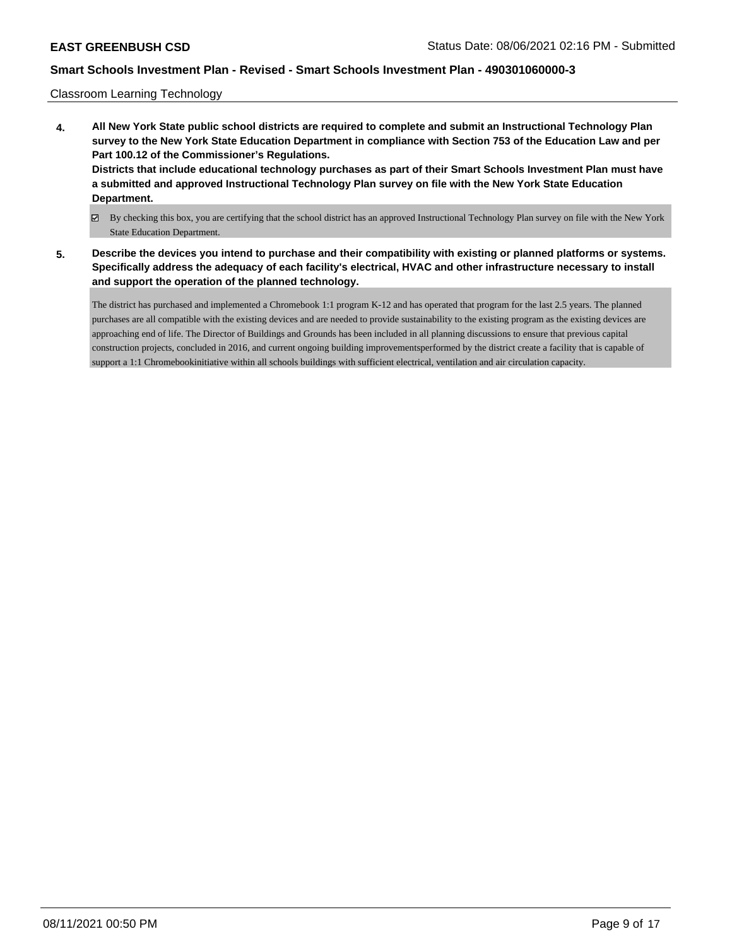Classroom Learning Technology

- **4. All New York State public school districts are required to complete and submit an Instructional Technology Plan survey to the New York State Education Department in compliance with Section 753 of the Education Law and per Part 100.12 of the Commissioner's Regulations. Districts that include educational technology purchases as part of their Smart Schools Investment Plan must have a submitted and approved Instructional Technology Plan survey on file with the New York State Education Department.**
	- By checking this box, you are certifying that the school district has an approved Instructional Technology Plan survey on file with the New York State Education Department.
- **5. Describe the devices you intend to purchase and their compatibility with existing or planned platforms or systems. Specifically address the adequacy of each facility's electrical, HVAC and other infrastructure necessary to install and support the operation of the planned technology.**

The district has purchased and implemented a Chromebook 1:1 program K-12 and has operated that program for the last 2.5 years. The planned purchases are all compatible with the existing devices and are needed to provide sustainability to the existing program as the existing devices are approaching end of life. The Director of Buildings and Grounds has been included in all planning discussions to ensure that previous capital construction projects, concluded in 2016, and current ongoing building improvementsperformed by the district create a facility that is capable of support a 1:1 Chromebookinitiative within all schools buildings with sufficient electrical, ventilation and air circulation capacity.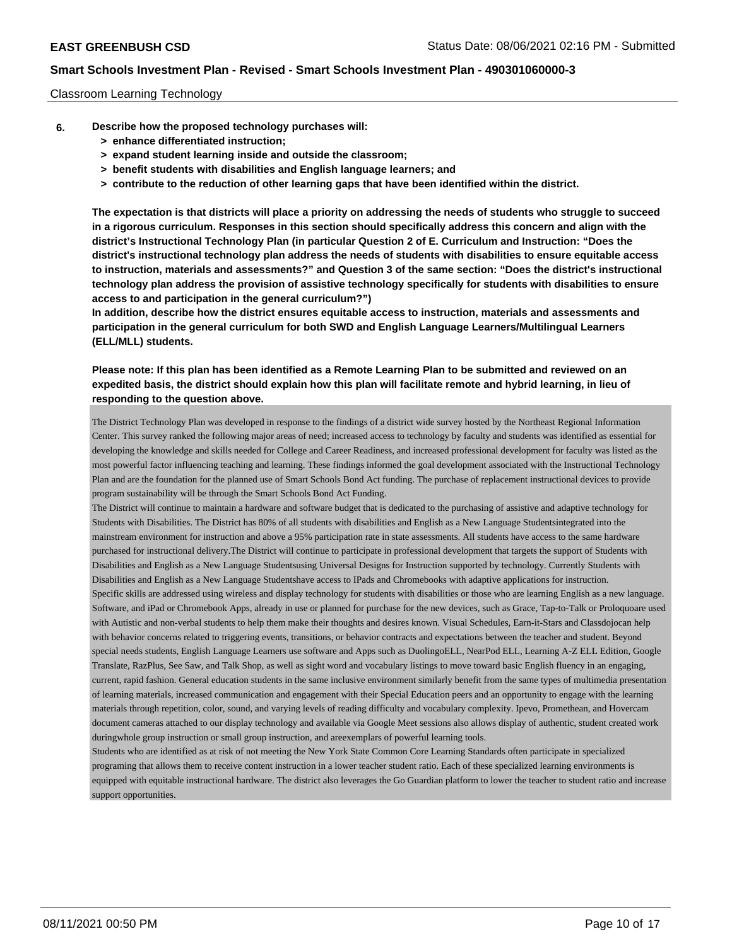## Classroom Learning Technology

- **6. Describe how the proposed technology purchases will:**
	- **> enhance differentiated instruction;**
	- **> expand student learning inside and outside the classroom;**
	- **> benefit students with disabilities and English language learners; and**
	- **> contribute to the reduction of other learning gaps that have been identified within the district.**

**The expectation is that districts will place a priority on addressing the needs of students who struggle to succeed in a rigorous curriculum. Responses in this section should specifically address this concern and align with the district's Instructional Technology Plan (in particular Question 2 of E. Curriculum and Instruction: "Does the district's instructional technology plan address the needs of students with disabilities to ensure equitable access to instruction, materials and assessments?" and Question 3 of the same section: "Does the district's instructional technology plan address the provision of assistive technology specifically for students with disabilities to ensure access to and participation in the general curriculum?")**

**In addition, describe how the district ensures equitable access to instruction, materials and assessments and participation in the general curriculum for both SWD and English Language Learners/Multilingual Learners (ELL/MLL) students.**

**Please note: If this plan has been identified as a Remote Learning Plan to be submitted and reviewed on an expedited basis, the district should explain how this plan will facilitate remote and hybrid learning, in lieu of responding to the question above.**

The District Technology Plan was developed in response to the findings of a district wide survey hosted by the Northeast Regional Information Center. This survey ranked the following major areas of need; increased access to technology by faculty and students was identified as essential for developing the knowledge and skills needed for College and Career Readiness, and increased professional development for faculty was listed as the most powerful factor influencing teaching and learning. These findings informed the goal development associated with the Instructional Technology Plan and are the foundation for the planned use of Smart Schools Bond Act funding. The purchase of replacement instructional devices to provide program sustainability will be through the Smart Schools Bond Act Funding.

The District will continue to maintain a hardware and software budget that is dedicated to the purchasing of assistive and adaptive technology for Students with Disabilities. The District has 80% of all students with disabilities and English as a New Language Studentsintegrated into the mainstream environment for instruction and above a 95% participation rate in state assessments. All students have access to the same hardware purchased for instructional delivery.The District will continue to participate in professional development that targets the support of Students with Disabilities and English as a New Language Studentsusing Universal Designs for Instruction supported by technology. Currently Students with Disabilities and English as a New Language Studentshave access to IPads and Chromebooks with adaptive applications for instruction. Specific skills are addressed using wireless and display technology for students with disabilities or those who are learning English as a new language. Software, and iPad or Chromebook Apps, already in use or planned for purchase for the new devices, such as Grace, Tap-to-Talk or Proloquoare used with Autistic and non-verbal students to help them make their thoughts and desires known. Visual Schedules, Earn-it-Stars and Classdojocan help with behavior concerns related to triggering events, transitions, or behavior contracts and expectations between the teacher and student. Beyond special needs students, English Language Learners use software and Apps such as DuolingoELL, NearPod ELL, Learning A-Z ELL Edition, Google Translate, RazPlus, See Saw, and Talk Shop, as well as sight word and vocabulary listings to move toward basic English fluency in an engaging, current, rapid fashion. General education students in the same inclusive environment similarly benefit from the same types of multimedia presentation of learning materials, increased communication and engagement with their Special Education peers and an opportunity to engage with the learning materials through repetition, color, sound, and varying levels of reading difficulty and vocabulary complexity. Ipevo, Promethean, and Hovercam document cameras attached to our display technology and available via Google Meet sessions also allows display of authentic, student created work duringwhole group instruction or small group instruction, and areexemplars of powerful learning tools.

Students who are identified as at risk of not meeting the New York State Common Core Learning Standards often participate in specialized programing that allows them to receive content instruction in a lower teacher student ratio. Each of these specialized learning environments is equipped with equitable instructional hardware. The district also leverages the Go Guardian platform to lower the teacher to student ratio and increase support opportunities.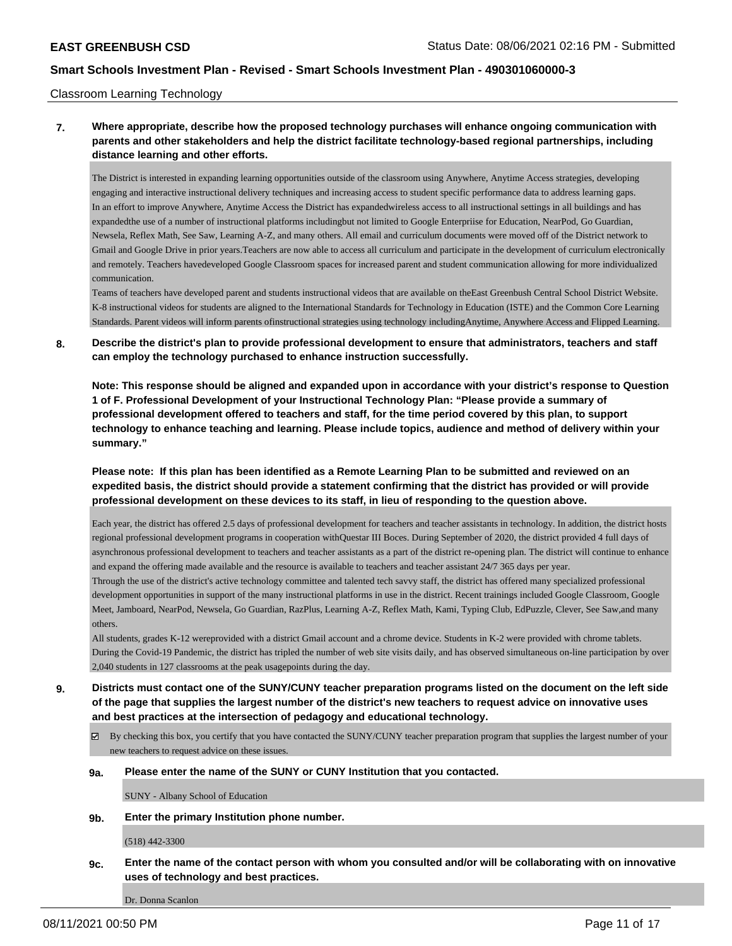#### Classroom Learning Technology

## **7. Where appropriate, describe how the proposed technology purchases will enhance ongoing communication with parents and other stakeholders and help the district facilitate technology-based regional partnerships, including distance learning and other efforts.**

The District is interested in expanding learning opportunities outside of the classroom using Anywhere, Anytime Access strategies, developing engaging and interactive instructional delivery techniques and increasing access to student specific performance data to address learning gaps. In an effort to improve Anywhere, Anytime Access the District has expandedwireless access to all instructional settings in all buildings and has expandedthe use of a number of instructional platforms includingbut not limited to Google Enterpriise for Education, NearPod, Go Guardian, Newsela, Reflex Math, See Saw, Learning A-Z, and many others. All email and curriculum documents were moved off of the District network to Gmail and Google Drive in prior years.Teachers are now able to access all curriculum and participate in the development of curriculum electronically and remotely. Teachers havedeveloped Google Classroom spaces for increased parent and student communication allowing for more individualized communication.

Teams of teachers have developed parent and students instructional videos that are available on theEast Greenbush Central School District Website. K-8 instructional videos for students are aligned to the International Standards for Technology in Education (ISTE) and the Common Core Learning Standards. Parent videos will inform parents ofinstructional strategies using technology includingAnytime, Anywhere Access and Flipped Learning.

## **8. Describe the district's plan to provide professional development to ensure that administrators, teachers and staff can employ the technology purchased to enhance instruction successfully.**

**Note: This response should be aligned and expanded upon in accordance with your district's response to Question 1 of F. Professional Development of your Instructional Technology Plan: "Please provide a summary of professional development offered to teachers and staff, for the time period covered by this plan, to support technology to enhance teaching and learning. Please include topics, audience and method of delivery within your summary."**

**Please note: If this plan has been identified as a Remote Learning Plan to be submitted and reviewed on an expedited basis, the district should provide a statement confirming that the district has provided or will provide professional development on these devices to its staff, in lieu of responding to the question above.**

Each year, the district has offered 2.5 days of professional development for teachers and teacher assistants in technology. In addition, the district hosts regional professional development programs in cooperation withQuestar III Boces. During September of 2020, the district provided 4 full days of asynchronous professional development to teachers and teacher assistants as a part of the district re-opening plan. The district will continue to enhance and expand the offering made available and the resource is available to teachers and teacher assistant 24/7 365 days per year.

Through the use of the district's active technology committee and talented tech savvy staff, the district has offered many specialized professional development opportunities in support of the many instructional platforms in use in the district. Recent trainings included Google Classroom, Google Meet, Jamboard, NearPod, Newsela, Go Guardian, RazPlus, Learning A-Z, Reflex Math, Kami, Typing Club, EdPuzzle, Clever, See Saw,and many others.

All students, grades K-12 wereprovided with a district Gmail account and a chrome device. Students in K-2 were provided with chrome tablets. During the Covid-19 Pandemic, the district has tripled the number of web site visits daily, and has observed simultaneous on-line participation by over 2,040 students in 127 classrooms at the peak usagepoints during the day.

**9. Districts must contact one of the SUNY/CUNY teacher preparation programs listed on the document on the left side of the page that supplies the largest number of the district's new teachers to request advice on innovative uses and best practices at the intersection of pedagogy and educational technology.**

- By checking this box, you certify that you have contacted the SUNY/CUNY teacher preparation program that supplies the largest number of your new teachers to request advice on these issues.
- **9a. Please enter the name of the SUNY or CUNY Institution that you contacted.**

SUNY - Albany School of Education

**9b. Enter the primary Institution phone number.**

(518) 442-3300

**9c. Enter the name of the contact person with whom you consulted and/or will be collaborating with on innovative uses of technology and best practices.**

Dr. Donna Scanlon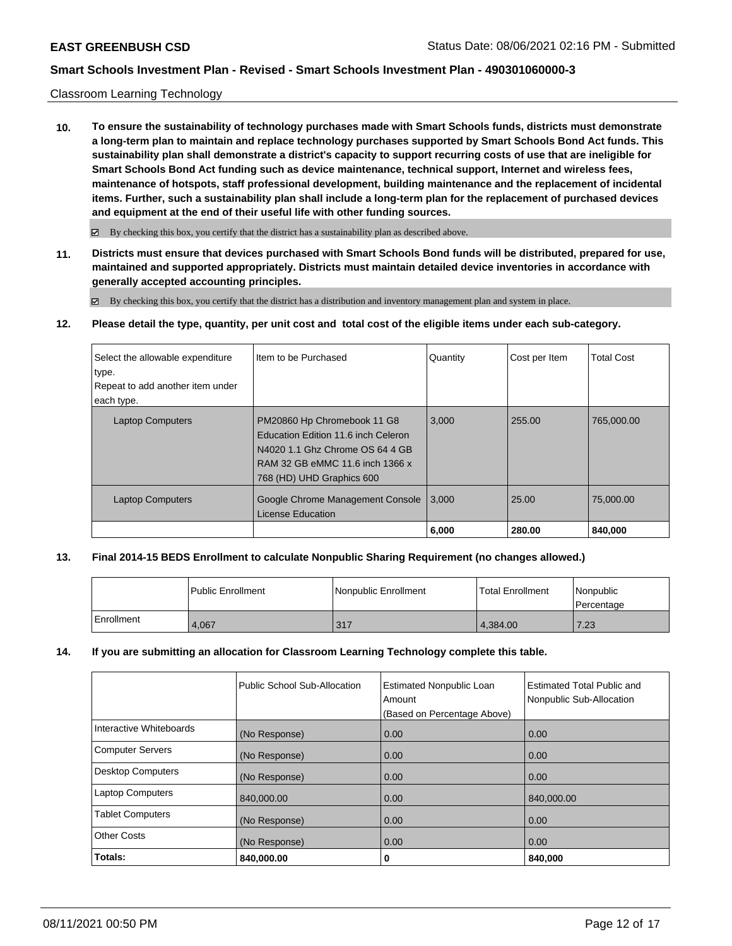## Classroom Learning Technology

**10. To ensure the sustainability of technology purchases made with Smart Schools funds, districts must demonstrate a long-term plan to maintain and replace technology purchases supported by Smart Schools Bond Act funds. This sustainability plan shall demonstrate a district's capacity to support recurring costs of use that are ineligible for Smart Schools Bond Act funding such as device maintenance, technical support, Internet and wireless fees, maintenance of hotspots, staff professional development, building maintenance and the replacement of incidental items. Further, such a sustainability plan shall include a long-term plan for the replacement of purchased devices and equipment at the end of their useful life with other funding sources.**

 $\boxtimes$  By checking this box, you certify that the district has a sustainability plan as described above.

**11. Districts must ensure that devices purchased with Smart Schools Bond funds will be distributed, prepared for use, maintained and supported appropriately. Districts must maintain detailed device inventories in accordance with generally accepted accounting principles.**

By checking this box, you certify that the district has a distribution and inventory management plan and system in place.

**12. Please detail the type, quantity, per unit cost and total cost of the eligible items under each sub-category.**

| Select the allowable expenditure<br>type.<br>Repeat to add another item under<br>each type. | I Item to be Purchased                                                                                                                                                | Quantity | Cost per Item | <b>Total Cost</b> |
|---------------------------------------------------------------------------------------------|-----------------------------------------------------------------------------------------------------------------------------------------------------------------------|----------|---------------|-------------------|
| <b>Laptop Computers</b>                                                                     | PM20860 Hp Chromebook 11 G8<br>Education Edition 11.6 inch Celeron<br>N4020 1.1 Ghz Chrome OS 64 4 GB<br>RAM 32 GB eMMC 11.6 inch 1366 x<br>768 (HD) UHD Graphics 600 | 3,000    | 255.00        | 765,000.00        |
| <b>Laptop Computers</b>                                                                     | Google Chrome Management Console<br><b>License Education</b>                                                                                                          | 3.000    | 25.00         | 75,000,00         |
|                                                                                             |                                                                                                                                                                       | 6,000    | 280.00        | 840,000           |

## **13. Final 2014-15 BEDS Enrollment to calculate Nonpublic Sharing Requirement (no changes allowed.)**

|            | l Public Enrollment | Nonpublic Enrollment | <b>Total Enrollment</b> | Nonpublic<br>Percentage |
|------------|---------------------|----------------------|-------------------------|-------------------------|
| Enrollment | 4.067               | 317                  | 4.384.00                | 7.23                    |

## **14. If you are submitting an allocation for Classroom Learning Technology complete this table.**

|                         | Public School Sub-Allocation | <b>Estimated Nonpublic Loan</b><br>Amount<br>(Based on Percentage Above) | <b>Estimated Total Public and</b><br>Nonpublic Sub-Allocation |
|-------------------------|------------------------------|--------------------------------------------------------------------------|---------------------------------------------------------------|
| Interactive Whiteboards | (No Response)                | 0.00                                                                     | 0.00                                                          |
| Computer Servers        | (No Response)                | 0.00                                                                     | 0.00                                                          |
| Desktop Computers       | (No Response)                | 0.00                                                                     | 0.00                                                          |
| Laptop Computers        | 840,000.00                   | 0.00                                                                     | 840,000.00                                                    |
| <b>Tablet Computers</b> | (No Response)                | 0.00                                                                     | 0.00                                                          |
| <b>Other Costs</b>      | (No Response)                | 0.00                                                                     | 0.00                                                          |
| Totals:                 | 840,000.00                   | 0                                                                        | 840,000                                                       |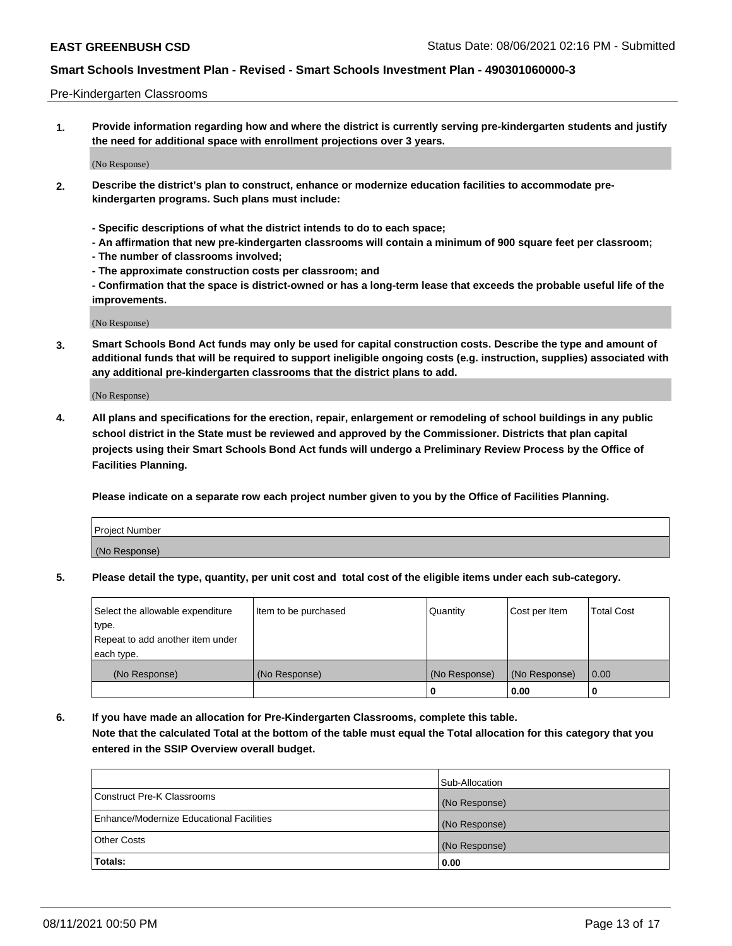#### Pre-Kindergarten Classrooms

**1. Provide information regarding how and where the district is currently serving pre-kindergarten students and justify the need for additional space with enrollment projections over 3 years.**

(No Response)

- **2. Describe the district's plan to construct, enhance or modernize education facilities to accommodate prekindergarten programs. Such plans must include:**
	- **Specific descriptions of what the district intends to do to each space;**
	- **An affirmation that new pre-kindergarten classrooms will contain a minimum of 900 square feet per classroom;**
	- **The number of classrooms involved;**
	- **The approximate construction costs per classroom; and**
	- **Confirmation that the space is district-owned or has a long-term lease that exceeds the probable useful life of the improvements.**

(No Response)

**3. Smart Schools Bond Act funds may only be used for capital construction costs. Describe the type and amount of additional funds that will be required to support ineligible ongoing costs (e.g. instruction, supplies) associated with any additional pre-kindergarten classrooms that the district plans to add.**

(No Response)

**4. All plans and specifications for the erection, repair, enlargement or remodeling of school buildings in any public school district in the State must be reviewed and approved by the Commissioner. Districts that plan capital projects using their Smart Schools Bond Act funds will undergo a Preliminary Review Process by the Office of Facilities Planning.**

**Please indicate on a separate row each project number given to you by the Office of Facilities Planning.**

| Project Number |  |
|----------------|--|
| (No Response)  |  |
|                |  |

**5. Please detail the type, quantity, per unit cost and total cost of the eligible items under each sub-category.**

| Select the allowable expenditure | Item to be purchased | Quantity      | Cost per Item | <b>Total Cost</b> |
|----------------------------------|----------------------|---------------|---------------|-------------------|
| type.                            |                      |               |               |                   |
| Repeat to add another item under |                      |               |               |                   |
| each type.                       |                      |               |               |                   |
| (No Response)                    | (No Response)        | (No Response) | (No Response) | 0.00              |
|                                  |                      | υ             | 0.00          |                   |

**6. If you have made an allocation for Pre-Kindergarten Classrooms, complete this table. Note that the calculated Total at the bottom of the table must equal the Total allocation for this category that you entered in the SSIP Overview overall budget.**

| Totals:                                  | 0.00           |
|------------------------------------------|----------------|
| <b>Other Costs</b>                       | (No Response)  |
| Enhance/Modernize Educational Facilities | (No Response)  |
| Construct Pre-K Classrooms               | (No Response)  |
|                                          | Sub-Allocation |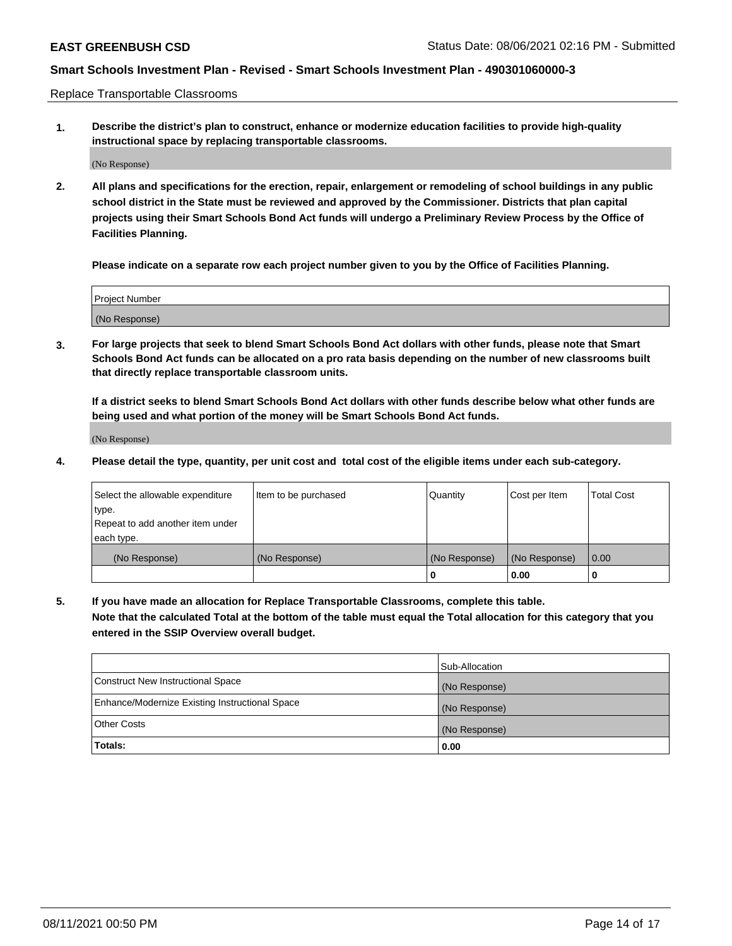Replace Transportable Classrooms

**1. Describe the district's plan to construct, enhance or modernize education facilities to provide high-quality instructional space by replacing transportable classrooms.**

(No Response)

**2. All plans and specifications for the erection, repair, enlargement or remodeling of school buildings in any public school district in the State must be reviewed and approved by the Commissioner. Districts that plan capital projects using their Smart Schools Bond Act funds will undergo a Preliminary Review Process by the Office of Facilities Planning.**

**Please indicate on a separate row each project number given to you by the Office of Facilities Planning.**

| Project Number |  |
|----------------|--|
|                |  |
|                |  |
|                |  |
|                |  |
| (No Response)  |  |
|                |  |
|                |  |
|                |  |

**3. For large projects that seek to blend Smart Schools Bond Act dollars with other funds, please note that Smart Schools Bond Act funds can be allocated on a pro rata basis depending on the number of new classrooms built that directly replace transportable classroom units.**

**If a district seeks to blend Smart Schools Bond Act dollars with other funds describe below what other funds are being used and what portion of the money will be Smart Schools Bond Act funds.**

(No Response)

**4. Please detail the type, quantity, per unit cost and total cost of the eligible items under each sub-category.**

| Select the allowable expenditure | Item to be purchased | Quantity      | Cost per Item | Total Cost |
|----------------------------------|----------------------|---------------|---------------|------------|
| ∣type.                           |                      |               |               |            |
| Repeat to add another item under |                      |               |               |            |
| each type.                       |                      |               |               |            |
| (No Response)                    | (No Response)        | (No Response) | (No Response) | 0.00       |
|                                  |                      | u             | 0.00          |            |

**5. If you have made an allocation for Replace Transportable Classrooms, complete this table. Note that the calculated Total at the bottom of the table must equal the Total allocation for this category that you entered in the SSIP Overview overall budget.**

|                                                | Sub-Allocation |
|------------------------------------------------|----------------|
| Construct New Instructional Space              | (No Response)  |
| Enhance/Modernize Existing Instructional Space | (No Response)  |
| Other Costs                                    | (No Response)  |
| Totals:                                        | 0.00           |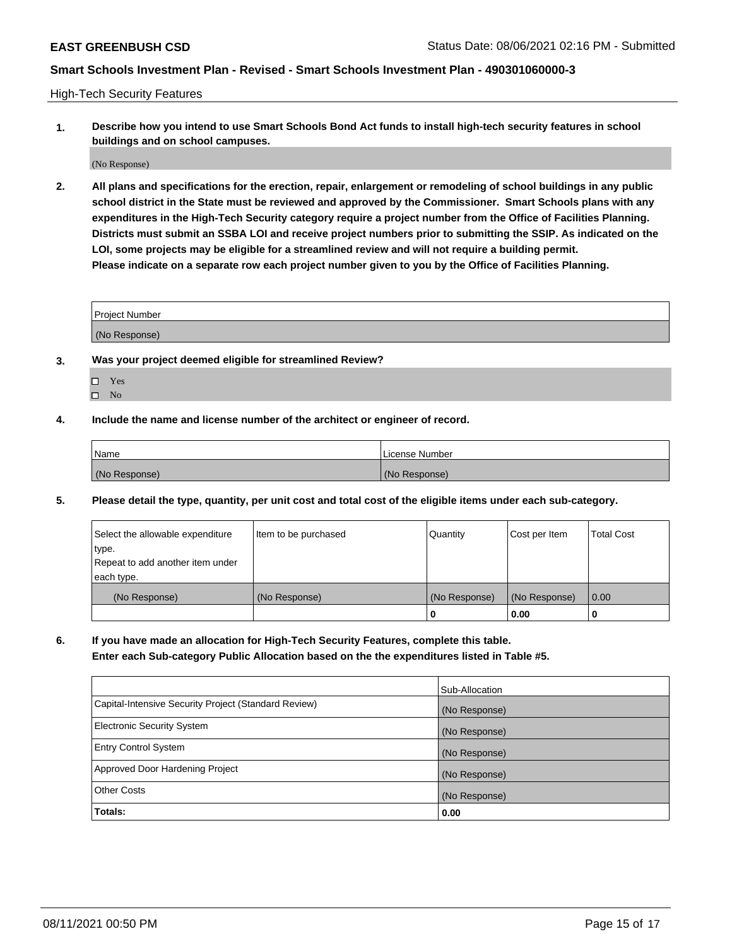High-Tech Security Features

**1. Describe how you intend to use Smart Schools Bond Act funds to install high-tech security features in school buildings and on school campuses.**

(No Response)

**2. All plans and specifications for the erection, repair, enlargement or remodeling of school buildings in any public school district in the State must be reviewed and approved by the Commissioner. Smart Schools plans with any expenditures in the High-Tech Security category require a project number from the Office of Facilities Planning. Districts must submit an SSBA LOI and receive project numbers prior to submitting the SSIP. As indicated on the LOI, some projects may be eligible for a streamlined review and will not require a building permit. Please indicate on a separate row each project number given to you by the Office of Facilities Planning.**

| <b>Project Number</b> |  |
|-----------------------|--|
|                       |  |
| (No Response)         |  |

- **3. Was your project deemed eligible for streamlined Review?**
	- Yes
	- $\hfill \square$  No
- **4. Include the name and license number of the architect or engineer of record.**

| Name          | License Number |
|---------------|----------------|
| (No Response) | (No Response)  |

**5. Please detail the type, quantity, per unit cost and total cost of the eligible items under each sub-category.**

| Select the allowable expenditure | Item to be purchased | Quantity      | Cost per Item | <b>Total Cost</b> |
|----------------------------------|----------------------|---------------|---------------|-------------------|
| type.                            |                      |               |               |                   |
| Repeat to add another item under |                      |               |               |                   |
| each type.                       |                      |               |               |                   |
| (No Response)                    | (No Response)        | (No Response) | (No Response) | 0.00              |
|                                  |                      | 0             | 0.00          |                   |

**6. If you have made an allocation for High-Tech Security Features, complete this table.**

**Enter each Sub-category Public Allocation based on the the expenditures listed in Table #5.**

|                                                      | Sub-Allocation |
|------------------------------------------------------|----------------|
| Capital-Intensive Security Project (Standard Review) | (No Response)  |
| <b>Electronic Security System</b>                    | (No Response)  |
| <b>Entry Control System</b>                          | (No Response)  |
| Approved Door Hardening Project                      | (No Response)  |
| <b>Other Costs</b>                                   | (No Response)  |
| Totals:                                              | 0.00           |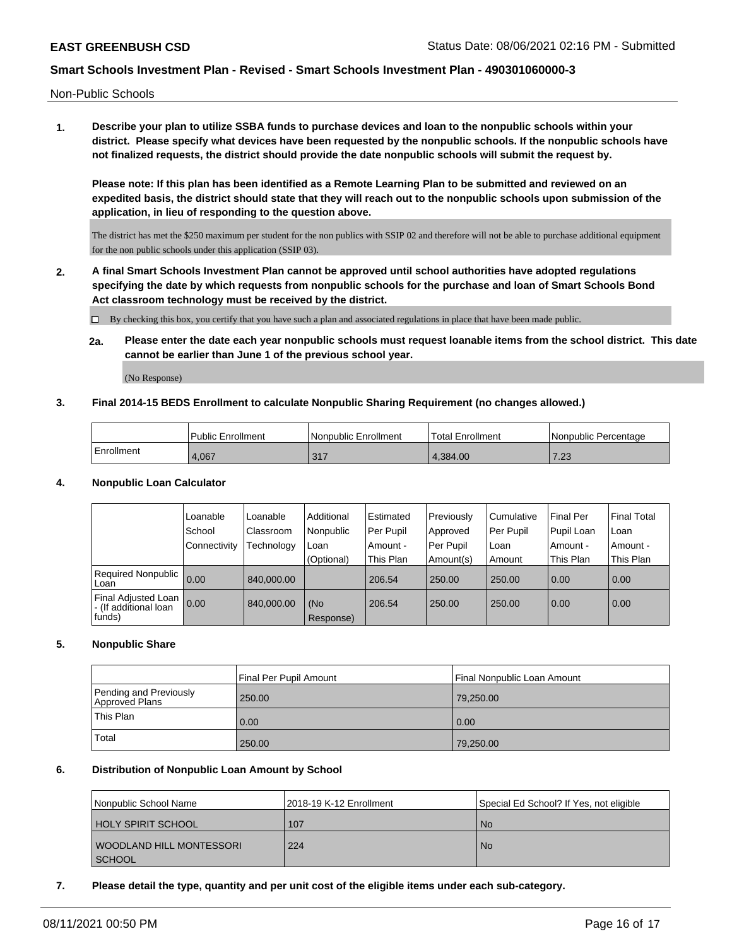Non-Public Schools

**1. Describe your plan to utilize SSBA funds to purchase devices and loan to the nonpublic schools within your district. Please specify what devices have been requested by the nonpublic schools. If the nonpublic schools have not finalized requests, the district should provide the date nonpublic schools will submit the request by.**

**Please note: If this plan has been identified as a Remote Learning Plan to be submitted and reviewed on an expedited basis, the district should state that they will reach out to the nonpublic schools upon submission of the application, in lieu of responding to the question above.**

The district has met the \$250 maximum per student for the non publics with SSIP 02 and therefore will not be able to purchase additional equipment for the non public schools under this application (SSIP 03).

**2. A final Smart Schools Investment Plan cannot be approved until school authorities have adopted regulations specifying the date by which requests from nonpublic schools for the purchase and loan of Smart Schools Bond Act classroom technology must be received by the district.**

By checking this box, you certify that you have such a plan and associated regulations in place that have been made public.

**2a. Please enter the date each year nonpublic schools must request loanable items from the school district. This date cannot be earlier than June 1 of the previous school year.**

(No Response)

#### **3. Final 2014-15 BEDS Enrollment to calculate Nonpublic Sharing Requirement (no changes allowed.)**

|            | <b>Public Enrollment</b> | l Nonpublic Enrollment | <b>Total Enrollment</b> | l Nonpublic Percentage |
|------------|--------------------------|------------------------|-------------------------|------------------------|
| Enrollment | 4.067                    | 217<br>، ر ب           | .384.00                 | ר ה<br>$-20$           |

## **4. Nonpublic Loan Calculator**

|                                                        | Loanable       | Loanable   | Additional       | Estimated | Previously | l Cumulative | Final Per  | <b>Final Total</b> |
|--------------------------------------------------------|----------------|------------|------------------|-----------|------------|--------------|------------|--------------------|
|                                                        | School         | Classroom  | Nonpublic        | Per Pupil | Approved   | Per Pupil    | Pupil Loan | l Loan             |
|                                                        | l Connectivitv | Technology | Loan             | Amount -  | Per Pupil  | Loan         | Amount -   | l Amount -         |
|                                                        |                |            | (Optional)       | This Plan | Amount(s)  | Amount       | This Plan  | This Plan          |
| Required Nonpublic<br>Loan                             | 0.00           | 840.000.00 |                  | 206.54    | 250.00     | 250.00       | 0.00       | 0.00               |
| Final Adjusted Loan<br>- (If additional loan<br>funds) | 0.00           | 840,000.00 | (No<br>Response) | 206.54    | 250.00     | 250.00       | 0.00       | 0.00               |

## **5. Nonpublic Share**

|                                          | Final Per Pupil Amount | Final Nonpublic Loan Amount |
|------------------------------------------|------------------------|-----------------------------|
| Pending and Previously<br>Approved Plans | 250.00                 | 79,250.00                   |
| This Plan                                | 0.00                   | 0.00                        |
| Total                                    | 250.00                 | 79,250.00                   |

#### **6. Distribution of Nonpublic Loan Amount by School**

| Nonpublic School Name    | 2018-19 K-12 Enrollment | Special Ed School? If Yes, not eligible |
|--------------------------|-------------------------|-----------------------------------------|
| HOLY SPIRIT SCHOOL       | 107                     | No.                                     |
| WOODLAND HILL MONTESSORI | 224                     | <b>No</b>                               |
| <b>SCHOOL</b>            |                         |                                         |

**7. Please detail the type, quantity and per unit cost of the eligible items under each sub-category.**